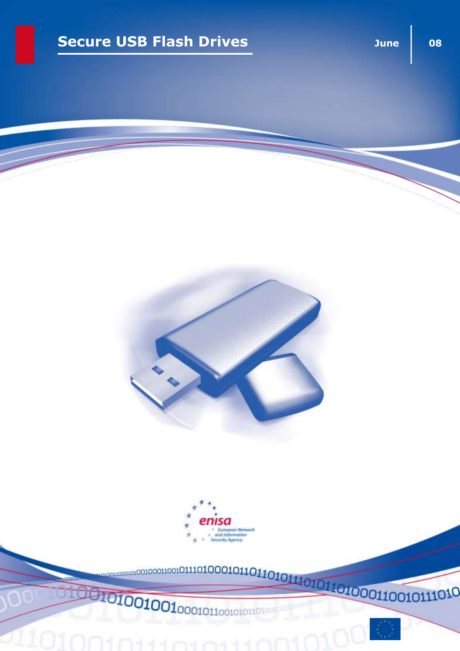## **Secure USB Flash Drives June Decure USB Flash Drives**





**Takis**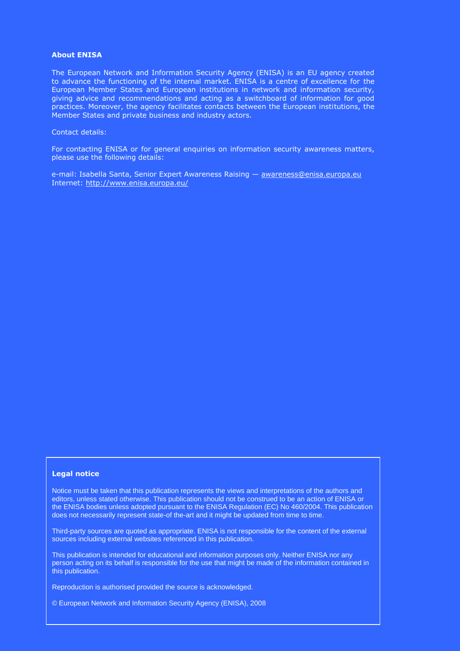#### **About ENISA**

The European Network and Information Security Agency (ENISA) is an EU agency created to advance the functioning of the internal market. ENISA is a centre of excellence for the European Member States and European institutions in network and information security, giving advice and recommendations and acting as a switchboard of information for good practices. Moreover, the agency facilitates contacts between the European institutions, the Member States and private business and industry actors.

#### Contact details:

For contacting ENISA or for general enquiries on information security awareness matters, please use the following details:

e-mail: Isabella Santa, Senior Expert Awareness Raising - [awareness@enisa.europa.eu](mailto:awareness@enisa.europa.eu) Internet:<http://www.enisa.europa.eu/>

#### **Legal notice**

Notice must be taken that this publication represents the views and interpretations of the authors and editors, unless stated otherwise. This publication should not be construed to be an action of ENISA or the ENISA bodies unless adopted pursuant to the ENISA Regulation (EC) No 460/2004. This publication does not necessarily represent state-of the-art and it might be updated from time to time.

Third-party sources are quoted as appropriate. ENISA is not responsible for the content of the external sources including external websites referenced in this publication.

This publication is intended for educational and information purposes only. Neither ENISA nor any person acting on its behalf is responsible for the use that might be made of the information contained in this publication.

Reproduction is authorised provided the source is acknowledged.

© European Network and Information Security Agency (ENISA), 2008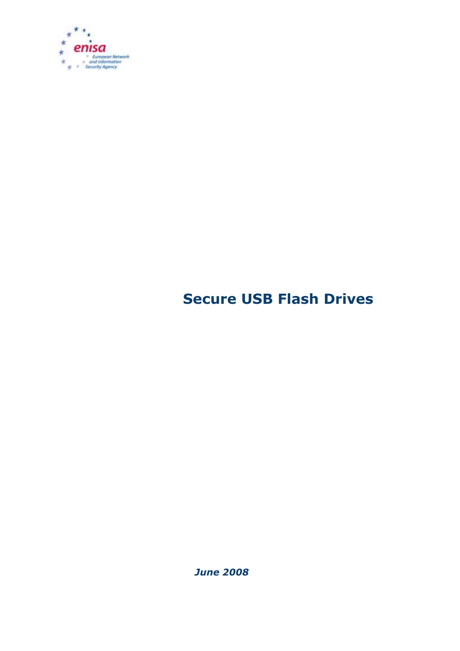

# **Secure USB Flash Drives**

*June 2008*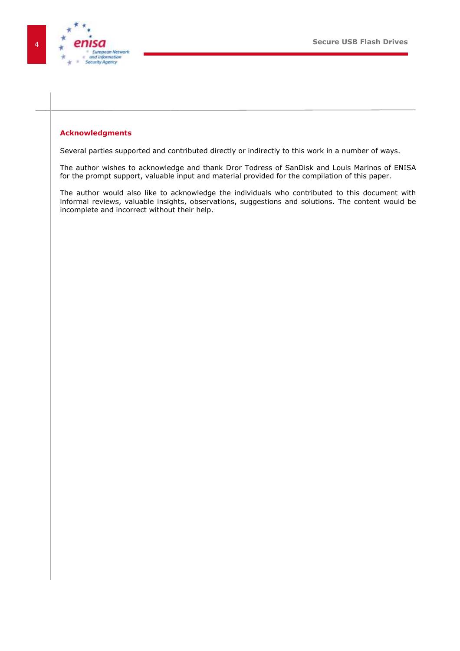

#### <span id="page-3-0"></span>**Acknowledgments**

Several parties supported and contributed directly or indirectly to this work in a number of ways.

The author wishes to acknowledge and thank Dror Todress of SanDisk and Louis Marinos of ENISA for the prompt support, valuable input and material provided for the compilation of this paper.

The author would also like to acknowledge the individuals who contributed to this document with informal reviews, valuable insights, observations, suggestions and solutions. The content would be incomplete and incorrect without their help.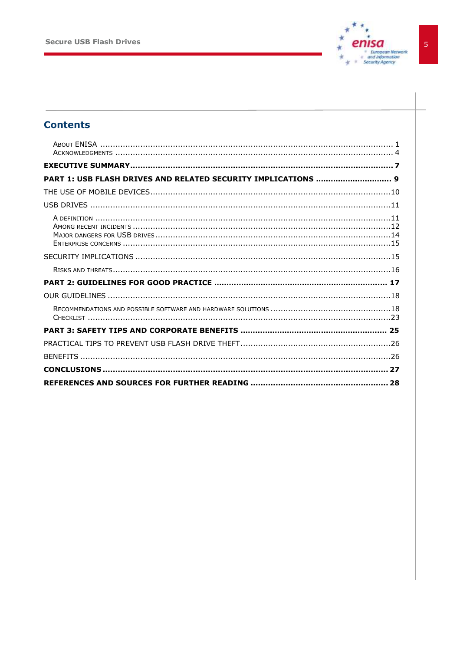

### **Contents**

| PART 1: USB FLASH DRIVES AND RELATED SECURITY IMPLICATIONS  9 |
|---------------------------------------------------------------|
|                                                               |
|                                                               |
|                                                               |
|                                                               |
|                                                               |
|                                                               |
|                                                               |
|                                                               |
|                                                               |
|                                                               |
|                                                               |
|                                                               |
|                                                               |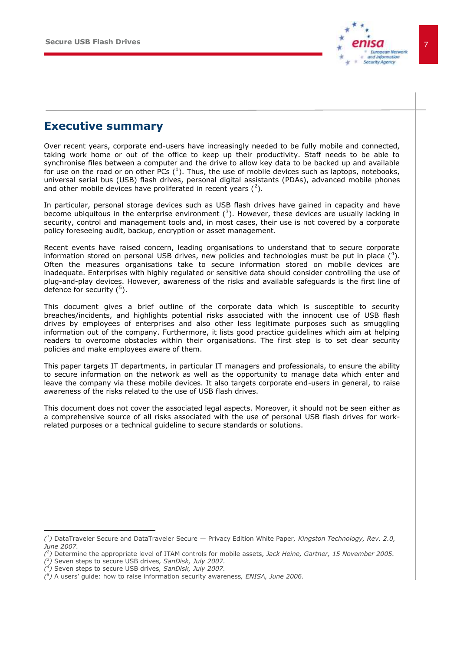

### <span id="page-6-0"></span>**Executive summary**

Over recent years, corporate end-users have increasingly needed to be fully mobile and connected, taking work home or out of the office to keep up their productivity. Staff needs to be able to synchronise files between a computer and the drive to allow key data to be backed up and available for use on the road or on other PCs  $(^1)$ . Thus, the use of mobile devices such as laptops, notebooks, universal serial bus (USB) flash drives, personal digital assistants (PDAs), advanced mobile phones and other mobile devices have proliferated in recent years  $(^2)$ .

In particular, personal storage devices such as USB flash drives have gained in capacity and have become ubiquitous in the enterprise environment  $(3)$ . However, these devices are usually lacking in security, control and management tools and, in most cases, their use is not covered by a corporate policy foreseeing audit, backup, encryption or asset management.

Recent events have raised concern, leading organisations to understand that to secure corporate information stored on personal USB drives, new policies and technologies must be put in place  $(^4)$ . Often the measures organisations take to secure information stored on mobile devices are inadequate. Enterprises with highly regulated or sensitive data should consider controlling the use of plug-and-play devices. However, awareness of the risks and available safeguards is the first line of defence for security  $(^5)$ .

This document gives a brief outline of the corporate data which is susceptible to security breaches/incidents, and highlights potential risks associated with the innocent use of USB flash drives by employees of enterprises and also other less legitimate purposes such as smuggling information out of the company. Furthermore, it lists good practice guidelines which aim at helping readers to overcome obstacles within their organisations. The first step is to set clear security policies and make employees aware of them.

This paper targets IT departments, in particular IT managers and professionals, to ensure the ability to secure information on the network as well as the opportunity to manage data which enter and leave the company via these mobile devices. It also targets corporate end-users in general, to raise awareness of the risks related to the use of USB flash drives.

This document does not cover the associated legal aspects. Moreover, it should not be seen either as a comprehensive source of all risks associated with the use of personal USB flash drives for workrelated purposes or a technical guideline to secure standards or solutions.

j.

*<sup>(</sup> 1 )* DataTraveler Secure and DataTraveler Secure — Privacy Edition White Paper*, Kingston Technology, Rev. 2.0, June 2007.*

*<sup>(</sup> 2 )* Determine the appropriate level of ITAM controls for mobile assets*, Jack Heine, Gartner, 15 November 2005.*

*<sup>(</sup> 3 )* Seven steps to secure USB drives*, SanDisk, July 2007.* 

*<sup>(</sup> 4 )* Seven steps to secure USB drives*, SanDisk, July 2007.* 

*<sup>(</sup> 5 )* A users' guide: how to raise information security awareness*, ENISA, June 2006.*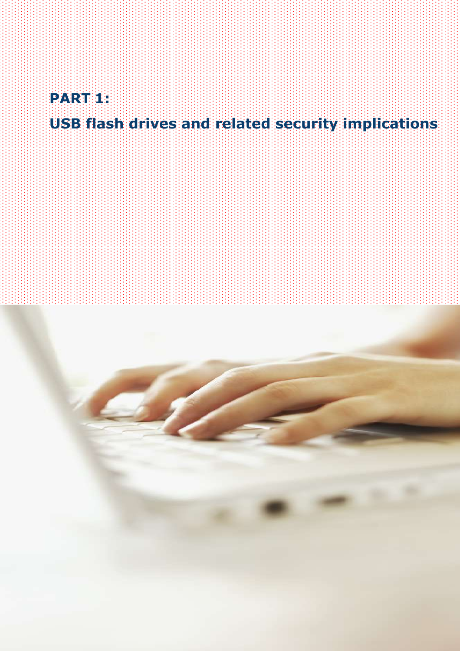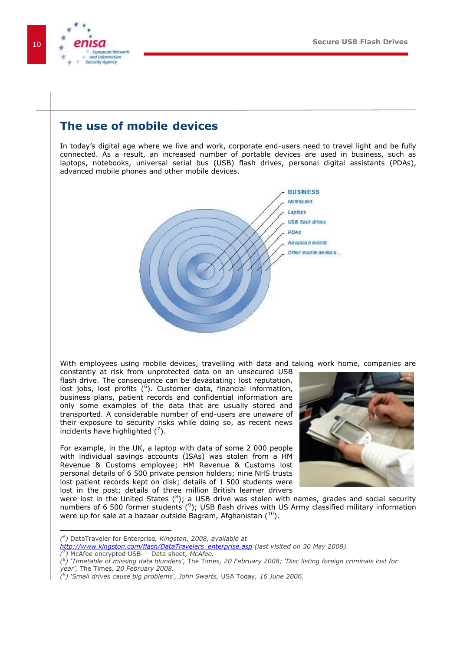

### <span id="page-9-0"></span>**The use of mobile devices**

In today's digital age where we live and work, corporate end-users need to travel light and be fully connected. As a result, an increased number of portable devices are used in business, such as laptops, notebooks, universal serial bus (USB) flash drives, personal digital assistants (PDAs), advanced mobile phones and other mobile devices.



With employees using mobile devices, travelling with data and taking work home, companies are

constantly at risk from unprotected data on an unsecured USB flash drive. The consequence can be devastating: lost reputation, lost jobs, lost profits  $(^6)$ . Customer data, financial information, business plans, patient records and confidential information are only some examples of the data that are usually stored and transported. A considerable number of end-users are unaware of their exposure to security risks while doing so, as recent news incidents have highlighted  $(7)$ .

For example, in the UK, a laptop with data of some 2 000 people with individual savings accounts (ISAs) was stolen from a HM Revenue & Customs employee; HM Revenue & Customs lost personal details of 6 500 private pension holders; nine NHS trusts lost patient records kept on disk; details of 1 500 students were lost in the post; details of three million British learner drivers



were lost in the United States ( ${}^{8}$ ); a USB drive was stolen with names, grades and social security numbers of 6 500 former students  $\binom{9}{7}$ ; USB flash drives with US Army classified military information were up for sale at a bazaar outside Bagram, Afghanistan  $(10)$ .

-

*<sup>(</sup> 6 )* DataTraveler for Enterprise*, Kingston, 2008, available at* 

*[http://www.kingston.com/flash/DataTravelers\\_enterprise.asp](http://www.kingston.com/flash/DataTravelers_enterprise.asp) (last visited on 30 May 2008). ( 7 )* McAfee encrypted USB — Data sheet*, McAfee.*

*<sup>(</sup> 8 ) "Timetable of missing data blunders",* The Times*, 20 February 2008; "Disc listing foreign criminals lost for year",* The Times*, 20 February 2008.*

*<sup>(</sup> 9 ) "Small drives cause big problems", John Swarts,* USA Today*, 16 June 2006.*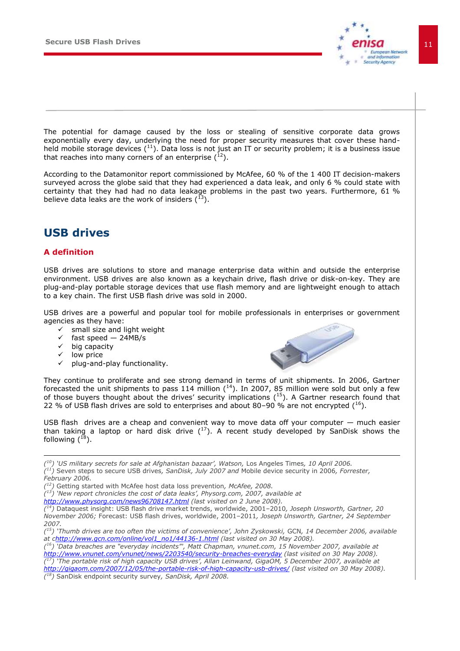

The potential for damage caused by the loss or stealing of sensitive corporate data grows exponentially every day, underlying the need for proper security measures that cover these handheld mobile storage devices  $(^{11})$ . Data loss is not just an IT or security problem; it is a business issue that reaches into many corners of an enterprise  $(1^2)$ .

According to the Datamonitor report commissioned by McAfee, 60 % of the 1 400 IT decision-makers surveyed across the globe said that they had experienced a data leak, and only 6 % could state with certainty that they had had no data leakage problems in the past two years. Furthermore, 61 % believe data leaks are the work of insiders  $(^{13})$ .

### <span id="page-10-0"></span>**USB drives**

### <span id="page-10-1"></span>**A definition**

USB drives are solutions to store and manage enterprise data within and outside the enterprise environment. USB drives are also known as a keychain drive, flash drive or disk-on-key. They are plug-and-play portable storage devices that use flash memory and are lightweight enough to attach to a key chain. The first USB flash drive was sold in 2000.

USB drives are a powerful and popular tool for mobile professionals in enterprises or government agencies as they have:

- $\checkmark$  small size and light weight
- $\checkmark$  fast speed 24MB/s<br> $\checkmark$  hig capacity
- big capacity
- $\checkmark$  low price

-

plug-and-play functionality.



They continue to proliferate and see strong demand in terms of unit shipments. In 2006, Gartner forecasted the unit shipments to pass 114 million  $(14)$ . In 2007, 85 million were sold but only a few of those buyers thought about the drives' security implications (15). A Gartner research found that 22 % of USB flash drives are sold to enterprises and about 80–90 % are not encrypted  $(^{16})$ .

USB flash drives are a cheap and convenient way to move data off your computer — much easier than taking a laptop or hard disk drive  $(^{17})$ . A recent study developed by SanDisk shows the following  $(^{18})$ .

*( <sup>10</sup>) "US military secrets for sale at Afghanistan bazaar", Watson,* Los Angeles Times*, 10 April 2006. ( <sup>11</sup>)* Seven steps to secure USB drives*, SanDisk, July 2007 and* Mobile device security in 2006*, Forrester, February 2006.* 

*( <sup>12</sup>)* Getting started with McAfee host data loss prevention*, McAfee, 2008.*

*( <sup>13</sup>) "New report chronicles the cost of data leaks", Physorg.com, 2007, available at* 

*<http://www.physorg.com/news96708147.html> (last visited on 2 June 2008).*

*( <sup>14</sup>)* Dataquest insight: USB flash drive market trends, worldwide, 2001–2010*, Joseph Unsworth, Gartner, 20 November 2006;* Forecast: USB flash drives, worldwide, 2001–2011*, Joseph Unsworth, Gartner, 24 September 2007.*

*( <sup>16</sup>) "Data breaches are "everyday incidents"', Matt Chapman, vnunet.com, 15 November 2007, available at <http://www.vnunet.com/vnunet/news/2203540/security-breaches-everyday> (last visited on 30 May 2008). ( <sup>17</sup>) "The portable risk of high capacity USB drives", Allan Leinwand, GigaOM, 5 December 2007, available at <http://gigaom.com/2007/12/05/the-portable-risk-of-high-capacity-usb-drives/> (last visited on 30 May 2008).*

*( <sup>18</sup>)* SanDisk endpoint security survey*, SanDisk, April 2008.*

*<sup>(</sup> <sup>15</sup>) "Thumb drives are too often the victims of convenience", John Zyskowski,* GCN*, 14 December 2006, available at [chttp://www.gcn.com/online/vol1\\_no1/44136-1.html](http://www.gcn.com/online/vol1_no1/44136-1.html) (last visited on 30 May 2008).*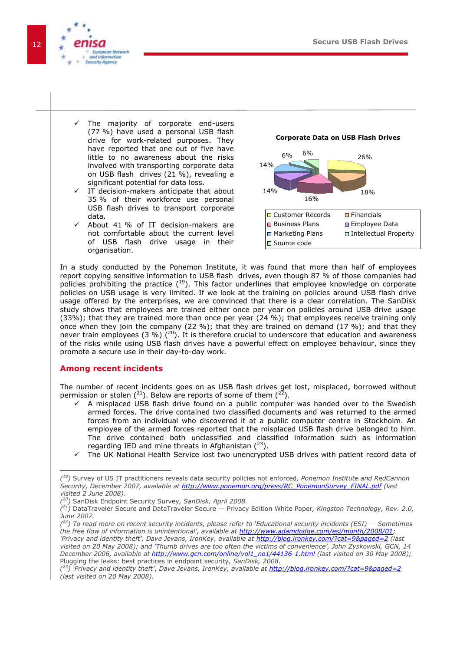

- The majority of corporate end-users (77 %) have used a personal USB flash drive for work-related purposes. They have reported that one out of five have little to no awareness about the risks involved with transporting corporate data on USB flash drives (21 %), revealing a significant potential for data loss.
- IT decision-makers anticipate that about 35 % of their workforce use personal USB flash drives to transport corporate data.
- About 41 % of IT decision-makers are not comfortable about the current level of USB flash drive usage in their organisation.





In a study conducted by the Ponemon Institute, it was found that more than half of employees report copying sensitive information to USB flash drives, even though 87 % of those companies had policies prohibiting the practice  $(^{19})$ . This factor underlines that employee knowledge on corporate policies on USB usage is very limited. If we look at the training on policies around USB flash drive usage offered by the enterprises, we are convinced that there is a clear correlation. The SanDisk study shows that employees are trained either once per year on policies around USB drive usage (33%); that they are trained more than once per year (24 %); that employees receive training only once when they join the company (22 %); that they are trained on demand (17 %); and that they never train employees (3 %) ( $^{20}$ ). It is therefore crucial to underscore that education and awareness of the risks while using USB flash drives have a powerful effect on employee behaviour, since they promote a secure use in their day-to-day work.

#### <span id="page-11-0"></span>**Among recent incidents**

The number of recent incidents goes on as USB flash drives get lost, misplaced, borrowed without permission or stolen ( $^{21}$ ). Below are reports of some of them ( $^{22}$ ).

- $\checkmark$  A misplaced USB flash drive found on a public computer was handed over to the Swedish armed forces. The drive contained two classified documents and was returned to the armed forces from an individual who discovered it at a public computer centre in Stockholm. An employee of the armed forces reported that the misplaced USB flash drive belonged to him. The drive contained both unclassified and classified information such as information regarding IED and mine threats in Afghanistan  $(^{23})$ .
- The UK National Health Service lost two unencrypted USB drives with patient record data of

 *( <sup>19</sup>)* Survey of US IT practitioners reveals data security policies not enforced*, Ponemon Institute and RedCannon Security, December 2007, available at [http://www.ponemon.org/press/RC\\_PonemonSurvey\\_FINAL.pdf](http://www.ponemon.org/press/RC_PonemonSurvey_FINAL.pdf) (last visited 2 June 2008).*

*<sup>(</sup> <sup>20</sup>)* SanDisk Endpoint Security Survey*, SanDisk, April 2008.*

*<sup>(</sup> <sup>21</sup>)* DataTraveler Secure and DataTraveler Secure — Privacy Edition White Paper*, Kingston Technology, Rev. 2.0, June 2007.*

*<sup>(</sup> <sup>22</sup>) To read more on recent security incidents, please refer to "Educational security incidents (ESI) — Sometimes the free flow of information is unintentional", available at [http://www.adamdodge.com/esi/month/2008/01;](http://www.adamdodge.com/esi/month/2008/01) "Privacy and identity theft", Dave Jevans, IronKey, available at <http://blog.ironkey.com/?cat=9&paged=2> (last visited on 20 May 2008); and "Thumb drives are too often the victims of convenience", John Zyskowski, GCN, 14 December 2006, available at [http://www.gcn.com/online/vol1\\_no1/44136-1.html](http://www.gcn.com/online/vol1_no1/44136-1.html) (last visited on 30 May 2008);*  Plugging the leaks: best practices in endpoint security*, SanDisk, 2008.*

*<sup>(</sup> <sup>23</sup>) "Privacy and identity theft"*, *Dave Jevans, IronKey, available at<http://blog.ironkey.com/?cat=9&paged=2> (last visited on 20 May 2008).*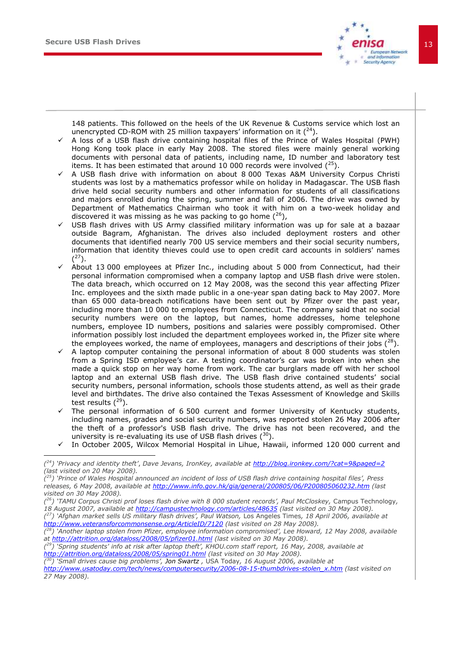-



148 patients. This followed on the heels of the UK Revenue & Customs service which lost an unencrypted CD-ROM with 25 million taxpayers' information on it  $(^{24})$ .

- A loss of a USB flash drive containing hospital files of the Prince of Wales Hospital (PWH) Hong Kong took place in early May 2008. The stored files were mainly general working documents with personal data of patients, including name, ID number and laboratory test items. It has been estimated that around 10 000 records were involved  $(^{25})$ .
- A USB flash drive with information on about 8 000 Texas A&M University Corpus Christi students was lost by a mathematics professor while on holiday in Madagascar. The USB flash drive held social security numbers and other information for students of all classifications and majors enrolled during the spring, summer and fall of 2006. The drive was owned by Department of Mathematics Chairman who took it with him on a two-week holiday and discovered it was missing as he was packing to go home  $(^{26})$ ,
- USB flash drives with US Army classified military information was up for sale at a bazaar outside Bagram, Afghanistan. The drives also included deployment rosters and other documents that identified nearly 700 US service members and their social security numbers, information that identity thieves could use to open credit card accounts in soldiers' names  $(2^7)$ .
- About 13 000 employees at Pfizer Inc., including about 5 000 from Connecticut, had their personal information compromised when a company laptop and USB flash drive were stolen. The data breach, which occurred on 12 May 2008, was the second this year affecting Pfizer Inc. employees and the sixth made public in a one-year span dating back to May 2007. More than 65 000 data-breach notifications have been sent out by Pfizer over the past year, including more than 10 000 to employees from Connecticut. The company said that no social security numbers were on the laptop, but names, home addresses, home telephone numbers, employee ID numbers, positions and salaries were possibly compromised. Other information possibly lost included the department employees worked in, the Pfizer site where the employees worked, the name of employees, managers and descriptions of their jobs  $(^{28})$ .
- A laptop computer containing the personal information of about 8 000 students was stolen from a Spring ISD employee's car. A testing coordinator's car was broken into when she made a quick stop on her way home from work. The car burglars made off with her school laptop and an external USB flash drive. The USB flash drive contained students' social security numbers, personal information, schools those students attend, as well as their grade level and birthdates. The drive also contained the Texas Assessment of Knowledge and Skills test results  $(^{29})$ .
- The personal information of 6 500 current and former University of Kentucky students, including names, grades and social security numbers, was reported stolen 26 May 2006 after the theft of a professor's USB flash drive. The drive has not been recovered, and the university is re-evaluating its use of USB flash drives  $(^{30})$ .
- $\checkmark$  In October 2005, Wilcox Memorial Hospital in Lihue, Hawaii, informed 120 000 current and

*( <sup>26</sup>) "TAMU Corpus Christi prof loses flash drive with 8 000 student records", Paul McCloskey,* Campus Technology*, 18 August 2007, available at<http://campustechnology.com/articles/48635> (last visited on 30 May 2008).*

*<sup>(</sup> <sup>24</sup>) "Privacy and identity theft"*, *Dave Jevans, IronKey, available at<http://blog.ironkey.com/?cat=9&paged=2> (last visited on 20 May 2008).* 

*<sup>(</sup> <sup>25</sup>) "Prince of Wales Hospital announced an incident of loss of USB flash drive containing hospital files", Press releases, 6 May 2008, available at<http://www.info.gov.hk/gia/general/200805/06/P200805060232.htm> (last visited on 30 May 2008).*

*<sup>(</sup> <sup>27</sup>) "Afghan market sells US military flash drives", Paul Watson,* Los Angeles Times*, 18 April 2006, available at <http://www.veteransforcommonsense.org/ArticleID/7120> (last visited on 28 May 2008).*

*<sup>(</sup> <sup>28</sup>) "Another laptop stolen from Pfizer, employee information compromised", Lee Howard, 12 May 2008, available at<http://attrition.org/dataloss/2008/05/pfizer01.html> (last visited on 30 May 2008).* 

*<sup>(</sup> <sup>29</sup>) "Spring students' info at risk after laptop theft", KHOU.com staff report, 16 May, 2008, available at <http://attrition.org/dataloss/2008/05/spring01.html> (last visited on 30 May 2008).*

*<sup>(</sup> <sup>30</sup>) "Small drives cause big problems", Jon Swartz ,* USA Today*, 16 August 2006, available at* 

*[http://www.usatoday.com/tech/news/computersecurity/2006-08-15-thumbdrives-stolen\\_x.htm](http://www.usatoday.com/tech/news/computersecurity/2006-08-15-thumbdrives-stolen_x.htm) (last visited on 27 May 2008).*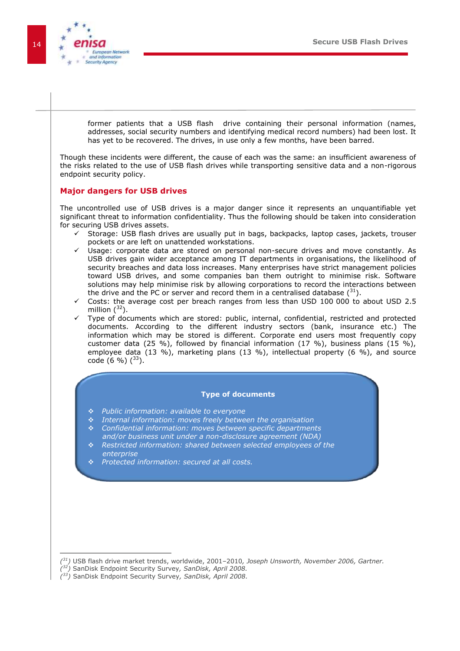

<span id="page-13-0"></span>former patients that a USB flash drive containing their personal information (names, addresses, social security numbers and identifying medical record numbers) had been lost. It has yet to be recovered. The drives, in use only a few months, have been barred. Though these incidents were different, the cause of each was the same: an insufficient awareness of the risks related to the use of USB flash drives while transporting sensitive data and a non-rigorous endpoint security policy. **Major dangers for USB drives**  The uncontrolled use of USB drives is a major danger since it represents an unquantifiable yet significant threat to information confidentiality. Thus the following should be taken into consideration for securing USB drives assets.  $\checkmark$  Storage: USB flash drives are usually put in bags, backpacks, laptop cases, jackets, trouser pockets or are left on unattended workstations. Usage: corporate data are stored on personal non-secure drives and move constantly. As USB drives gain wider acceptance among IT departments in organisations, the likelihood of security breaches and data loss increases. Many enterprises have strict management policies toward USB drives, and some companies ban them outright to minimise risk. Software solutions may help minimise risk by allowing corporations to record the interactions between the drive and the PC or server and record them in a centralised database  $(^{31})$ .  $\checkmark$  Costs: the average cost per breach ranges from less than USD 100 000 to about USD 2.5 million  $(^{32})$ . Type of documents which are stored: public, internal, confidential, restricted and protected documents. According to the different industry sectors (bank, insurance etc.) The information which may be stored is different. Corporate end users most frequently copy customer data (25 %), followed by financial information (17 %), business plans (15 %), employee data (13 %), marketing plans (13 %), intellectual property (6 %), and source code  $(6 \%)$   $(^{33})$ . **Type of documents** *Public information: available to everyone Internal information: moves freely between the organisation Confidential information: moves between specific departments and/or business unit under a non-disclosure agreement (NDA) Restricted information: shared between selected employees of the enterprise Protected information: secured at all costs.* 

*( <sup>32</sup>)* SanDisk Endpoint Security Survey*, SanDisk, April 2008.*

*<sup>(</sup> <sup>31</sup>)* USB flash drive market trends, worldwide, 2001–2010*, Joseph Unsworth, November 2006, Gartner.*

*<sup>(</sup> <sup>33</sup>)* SanDisk Endpoint Security Survey*, SanDisk, April 2008.*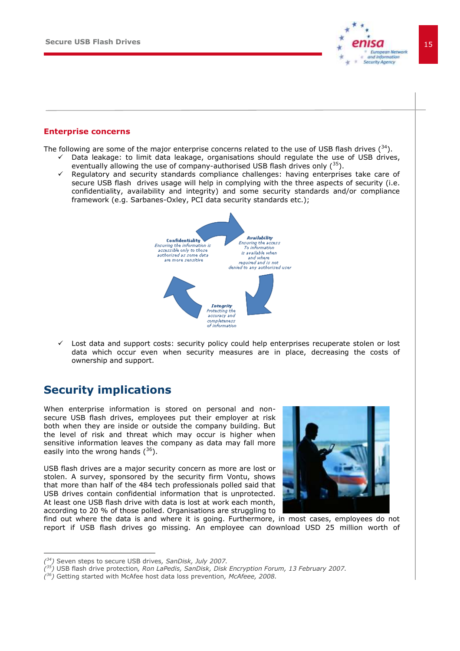

#### <span id="page-14-0"></span>**Enterprise concerns**

The following are some of the major enterprise concerns related to the use of USB flash drives  $(^{34})$ .

- Data leakage: to limit data leakage, organisations should regulate the use of USB drives, eventually allowing the use of company-authorised USB flash drives only  $(^{35})$ .
- Regulatory and security standards compliance challenges: having enterprises take care of secure USB flash drives usage will help in complying with the three aspects of security (i.e. confidentiality, availability and integrity) and some security standards and/or compliance framework (e.g. Sarbanes-Oxley, PCI data security standards etc.);



 $\checkmark$  Lost data and support costs: security policy could help enterprises recuperate stolen or lost data which occur even when security measures are in place, decreasing the costs of ownership and support.

### <span id="page-14-1"></span>**Security implications**

When enterprise information is stored on personal and nonsecure USB flash drives, employees put their employer at risk both when they are inside or outside the company building. But the level of risk and threat which may occur is higher when sensitive information leaves the company as data may fall more easily into the wrong hands  $(^{36})$ .

USB flash drives are a major security concern as more are lost or stolen. A survey, sponsored by the security firm Vontu, shows that more than half of the 484 tech professionals polled said that USB drives contain confidential information that is unprotected. At least one USB flash drive with data is lost at work each month, according to 20 % of those polled. Organisations are struggling to



find out where the data is and where it is going. Furthermore, in most cases, employees do not report if USB flash drives go missing. An employee can download USD 25 million worth of

*<sup>(</sup> <sup>34</sup>)* Seven steps to secure USB drives*, SanDisk, July 2007.*

*<sup>(</sup> <sup>35</sup>)* USB flash drive protection*, Ron LaPedis, SanDisk, Disk Encryption Forum, 13 February 2007.* 

*<sup>(</sup> <sup>36</sup>)* Getting started with McAfee host data loss prevention*, McAfeee, 2008.*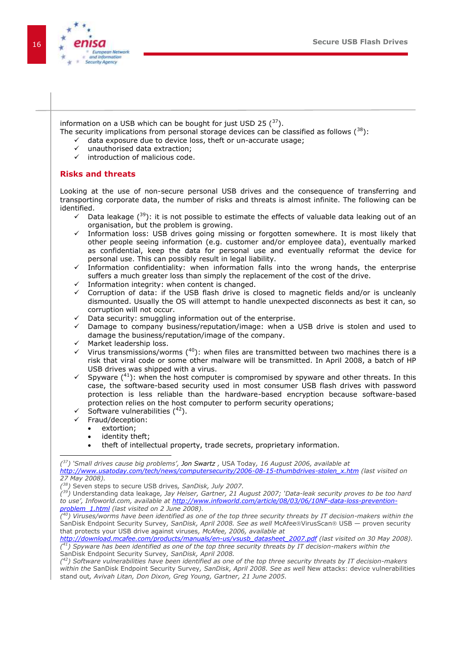

information on a USB which can be bought for just USD 25  $(^{37})$ .

- The security implications from personal storage devices can be classified as follows  $(^{38})$ :
	- $\checkmark$  data exposure due to device loss, theft or un-accurate usage;<br> $\checkmark$  unauthorised data extraction:
	- unauthorised data extraction;
	- $\checkmark$  introduction of malicious code.

### <span id="page-15-0"></span>**Risks and threats**

Looking at the use of non-secure personal USB drives and the consequence of transferring and transporting corporate data, the number of risks and threats is almost infinite. The following can be identified.

- $\checkmark$  Data leakage ( $39$ ): it is not possible to estimate the effects of valuable data leaking out of an organisation, but the problem is growing.
- Information loss: USB drives going missing or forgotten somewhere. It is most likely that other people seeing information (e.g. customer and/or employee data), eventually marked as confidential, keep the data for personal use and eventually reformat the device for personal use. This can possibly result in legal liability.
- $\checkmark$  Information confidentiality: when information falls into the wrong hands, the enterprise suffers a much greater loss than simply the replacement of the cost of the drive.
- $\checkmark$  Information integrity: when content is changed.
- $\checkmark$  Corruption of data: if the USB flash drive is closed to magnetic fields and/or is uncleanly dismounted. Usually the OS will attempt to handle unexpected disconnects as best it can, so corruption will not occur.
- $\checkmark$  Data security: smuggling information out of the enterprise.
- $\checkmark$  Damage to company business/reputation/image: when a USB drive is stolen and used to damage the business/reputation/image of the company.
- Market leadership loss.
- $\checkmark$  Virus transmissions/worms (40): when files are transmitted between two machines there is a risk that viral code or some other malware will be transmitted. In April 2008, a batch of HP USB drives was shipped with a virus.
- $\checkmark$  Spyware (<sup>41</sup>): when the host computer is compromised by spyware and other threats. In this case, the software-based security used in most consumer USB flash drives with password protection is less reliable than the hardware-based encryption because software-based protection relies on the host computer to perform security operations;
- Software vulnerabilities  $(^{42})$ .
- $\checkmark$  Fraud/deception:
	- extortion;

l

- identity theft;
- theft of intellectual property, trade secrets, proprietary information.

*<sup>(</sup> <sup>37</sup>) "Small drives cause big problems", Jon Swartz ,* USA Today*, 16 August 2006, available at [http://www.usatoday.com/tech/news/computersecurity/2006-08-15-thumbdrives-stolen\\_x.htm](http://www.usatoday.com/tech/news/computersecurity/2006-08-15-thumbdrives-stolen_x.htm) (last visited on 27 May 2008).*

*<sup>(</sup> <sup>38</sup>)* Seven steps to secure USB drives*, SanDisk, July 2007.*

*<sup>(</sup> <sup>39</sup>)* Understanding data leakage*, Jay Heiser, Gartner, 21 August 2007; "Data-leak security proves to be too hard to use", Infoworld.com, available at [http://www.infoworld.com/article/08/03/06/10NF-data-loss-prevention](http://www.infoworld.com/article/08/03/06/10NF-data-loss-prevention-problem_1.html)[problem\\_1.html](http://www.infoworld.com/article/08/03/06/10NF-data-loss-prevention-problem_1.html) (last visited on 2 June 2008).*

*<sup>(</sup> <sup>40</sup>) Viruses/worms have been identified as one of the top three security threats by IT decision-makers within the*  SanDisk Endpoint Security Survey, SanDisk, April 2008. See as well McAfee®VirusScan® USB — proven security that protects your USB drive against viruses*, McAfee, 2006, available at* 

*[http://download.mcafee.com/products/manuals/en-us/vsusb\\_datasheet\\_2007.pdf](http://download.mcafee.com/products/manuals/en-us/vsusb_datasheet_2007.pdf) (last visited on 30 May 2008). ( <sup>41</sup>) Spyware has been identified as one of the top three security threats by IT decision-makers within the*  SanDisk Endpoint Security Survey*, SanDisk, April 2008.*

*<sup>(</sup> <sup>42</sup>) Software vulnerabilities have been identified as one of the top three security threats by IT decision-makers within the* SanDisk Endpoint Security Survey*, SanDisk, April 2008. See as well* New attacks: device vulnerabilities stand out*, Avivah Litan, Don Dixon, Greg Young, Gartner, 21 June 2005.*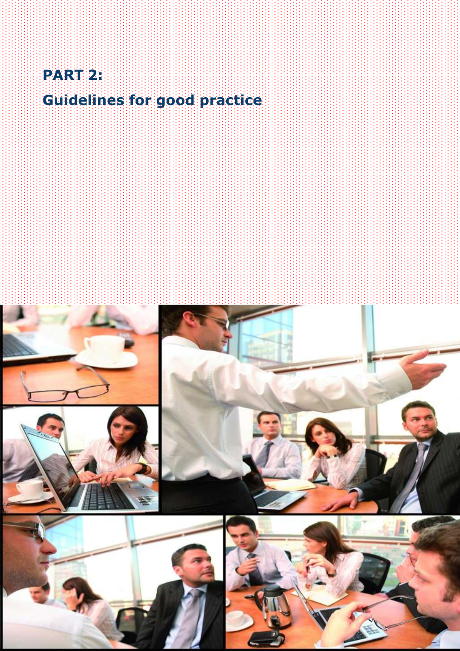

# **Guidelines for good practice**

**Secure USB Flash Drives** 17







![](_page_16_Picture_5.jpeg)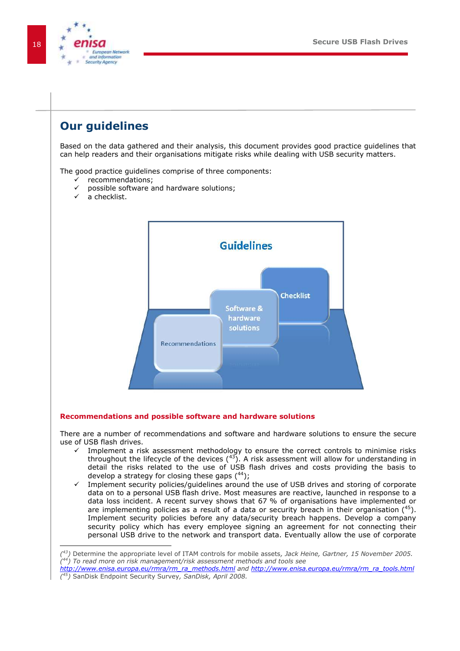![](_page_17_Picture_1.jpeg)

### <span id="page-17-0"></span>**Our guidelines**

Based on the data gathered and their analysis, this document provides good practice guidelines that can help readers and their organisations mitigate risks while dealing with USB security matters.

The good practice guidelines comprise of three components:

- $\checkmark$  recommendations;
- possible software and hardware solutions;
- a checklist.

![](_page_17_Figure_8.jpeg)

#### <span id="page-17-1"></span>**Recommendations and possible software and hardware solutions**

There are a number of recommendations and software and hardware solutions to ensure the secure use of USB flash drives.

- Implement a risk assessment methodology to ensure the correct controls to minimise risks throughout the lifecycle of the devices  $(^{43})$ . A risk assessment will allow for understanding in detail the risks related to the use of USB flash drives and costs providing the basis to develop a strategy for closing these gaps  $(^{44})$ ;
- $\checkmark$  Implement security policies/guidelines around the use of USB drives and storing of corporate data on to a personal USB flash drive. Most measures are reactive, launched in response to a data loss incident. A recent survey shows that 67 % of organisations have implemented or are implementing policies as a result of a data or security breach in their organisation  $(^{45})$ . Implement security policies before any data/security breach happens. Develop a company security policy which has every employee signing an agreement for not connecting their personal USB drive to the network and transport data. Eventually allow the use of corporate

*<sup>(</sup> <sup>43</sup>)* Determine the appropriate level of ITAM controls for mobile assets*, Jack Heine, Gartner, 15 November 2005. ( <sup>44</sup>) To read more on risk management/risk assessment methods and tools see* 

*[http://www.enisa.europa.eu/rmra/rm\\_ra\\_methods.html](http://www.enisa.europa.eu/rmra/rm_ra_methods.html) and [http://www.enisa.europa.eu/rmra/rm\\_ra\\_tools.html](http://www.enisa.europa.eu/rmra/rm_ra_tools.html)  ( <sup>45</sup>)* SanDisk Endpoint Security Survey*, SanDisk, April 2008.*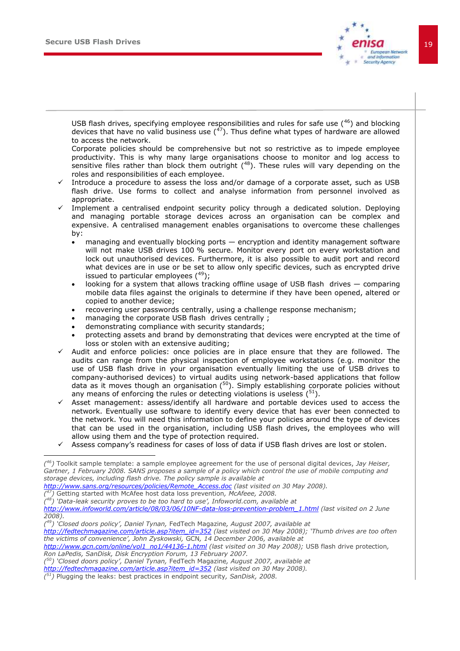![](_page_18_Picture_1.jpeg)

USB flash drives, specifying employee responsibilities and rules for safe use  $(^{46})$  and blocking devices that have no valid business use  $(47)$ . Thus define what types of hardware are allowed to access the network.

Corporate policies should be comprehensive but not so restrictive as to impede employee productivity. This is why many large organisations choose to monitor and log access to sensitive files rather than block them outright  $(^{48})$ . These rules will vary depending on the roles and responsibilities of each employee.

- Introduce a procedure to assess the loss and/or damage of a corporate asset, such as USB flash drive. Use forms to collect and analyse information from personnel involved as appropriate.
- Implement a centralised endpoint security policy through a dedicated solution. Deploying and managing portable storage devices across an organisation can be complex and expensive. A centralised management enables organisations to overcome these challenges by:
	- managing and eventually blocking ports encryption and identity management software will not make USB drives 100 % secure. Monitor every port on every workstation and lock out unauthorised devices. Furthermore, it is also possible to audit port and record what devices are in use or be set to allow only specific devices, such as encrypted drive issued to particular employees  $(^{49})$ ;
	- looking for a system that allows tracking offline usage of USB flash drives comparing mobile data files against the originals to determine if they have been opened, altered or copied to another device;
	- recovering user passwords centrally, using a challenge response mechanism;
	- managing the corporate USB flash drives centrally ;
	- demonstrating compliance with security standards;
	- protecting assets and brand by demonstrating that devices were encrypted at the time of loss or stolen with an extensive auditing;
- Audit and enforce policies: once policies are in place ensure that they are followed. The audits can range from the physical inspection of employee workstations (e.g. monitor the use of USB flash drive in your organisation eventually limiting the use of USB drives to company-authorised devices) to virtual audits using network-based applications that follow data as it moves though an organisation  $(50)$ . Simply establishing corporate policies without any means of enforcing the rules or detecting violations is useless  $(^{51})$ .
- Asset management: assess/identify all hardware and portable devices used to access the network. Eventually use software to identify every device that has ever been connected to the network. You will need this information to define your policies around the type of devices that can be used in the organisation, including USB flash drives, the employees who will allow using them and the type of protection required.
- $\checkmark$  Assess company's readiness for cases of loss of data if USB flash drives are lost or stolen.

*( <sup>47</sup>)* Getting started with McAfee host data loss prevention*, McAfeee, 2008.*

-

*( <sup>50</sup>) "Closed doors policy", Daniel Tynan,* FedTech Magazine*, August 2007, available at* 

*http://fedtechmagazine.com/article.asp?item\_id=352 (last visited on 30 May 2008).*

*( <sup>51</sup>)* Plugging the leaks: best practices in endpoint security*, SanDisk, 2008.* 

*<sup>(</sup> <sup>46</sup>)* Toolkit sample template: a sample employee agreement for the use of personal digital devices, *Jay Heiser, Gartner, 1 February 2008. SANS proposes a sample of a policy which control the use of mobile computing and storage devices, including flash drive. The policy sample is available at* 

*[http://www.sans.org/resources/policies/Remote\\_Access.doc](http://www.sans.org/resources/policies/Remote_Access.doc) (last visited on 30 May 2008).*

*<sup>(</sup> <sup>48</sup>) "Data-leak security proves to be too hard to use", Infoworld.com, available at [http://www.infoworld.com/article/08/03/06/10NF-data-loss-prevention-problem\\_1.html](http://www.infoworld.com/article/08/03/06/10NF-data-loss-prevention-problem_1.html) (last visited on 2 June 2008).*

*<sup>(</sup> <sup>49</sup>) "Closed doors policy", Daniel Tynan,* FedTech Magazine*, August 2007, available at* 

*http://fedtechmagazine.com/article.asp?item\_id=352 (last visited on 30 May 2008); "Thumb drives are too often the victims of convenience", John Zyskowski,* GCN*, 14 December 2006, available at* 

*[http://www.gcn.com/online/vol1\\_no1/44136-1.html](http://www.gcn.com/online/vol1_no1/44136-1.html) (last visited on 30 May 2008);* USB flash drive protection*, Ron LaPedis, SanDisk, Disk Encryption Forum, 13 February 2007.*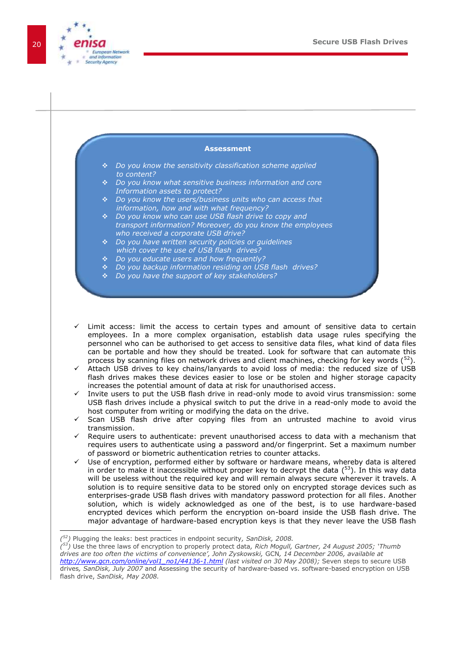![](_page_19_Figure_1.jpeg)

![](_page_19_Figure_2.jpeg)

*[http://www.gcn.com/online/vol1\\_no1/44136-1.html](http://www.gcn.com/online/vol1_no1/44136-1.html) (last visited on 30 May 2008);* Seven steps to secure USB drives*, SanDisk, July 2007* and Assessing the security of hardware-based vs. software-based encryption on USB flash drive, *SanDisk, May 2008.*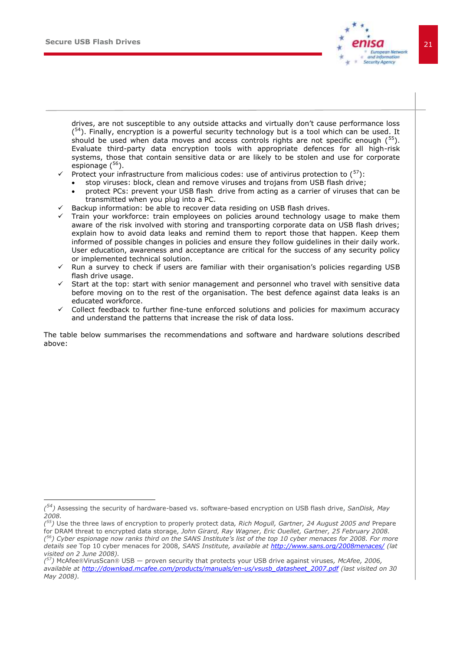-

![](_page_20_Picture_1.jpeg)

drives, are not susceptible to any outside attacks and virtually don't cause performance loss (<sup>54</sup>). Finally, encryption is a powerful security technology but is a tool which can be used. It should be used when data moves and access controls rights are not specific enough  $(^{55})$ . Evaluate third-party data encryption tools with appropriate defences for all high-risk systems, those that contain sensitive data or are likely to be stolen and use for corporate espionage  $(^{56})$ .

- Protect your infrastructure from malicious codes: use of antivirus protection to  $\binom{57}{1}$ :
	- stop viruses: block, clean and remove viruses and trojans from USB flash drive;
	- protect PCs: prevent your USB flash drive from acting as a carrier of viruses that can be transmitted when you plug into a PC.
- Backup information: be able to recover data residing on USB flash drives.
- Train your workforce: train employees on policies around technology usage to make them aware of the risk involved with storing and transporting corporate data on USB flash drives; explain how to avoid data leaks and remind them to report those that happen. Keep them informed of possible changes in policies and ensure they follow guidelines in their daily work. User education, awareness and acceptance are critical for the success of any security policy or implemented technical solution.
- Run a survey to check if users are familiar with their organisation's policies regarding USB flash drive usage.
- Start at the top: start with senior management and personnel who travel with sensitive data before moving on to the rest of the organisation. The best defence against data leaks is an educated workforce.
- Collect feedback to further fine-tune enforced solutions and policies for maximum accuracy and understand the patterns that increase the risk of data loss.

The table below summarises the recommendations and software and hardware solutions described above:

*<sup>(</sup> <sup>54</sup>)* Assessing the security of hardware-based vs. software-based encryption on USB flash drive, *SanDisk, May 2008.*

*<sup>(</sup> <sup>55</sup>)* Use the three laws of encryption to properly protect data*, Rich Mogull, Gartner, 24 August 2005 and* Prepare for DRAM threat to encrypted data storage*, John Girard, Ray Wagner, Eric Ouellet, Gartner, 25 February 2008. ( <sup>56</sup>) Cyber espionage now ranks third on the SANS Institute"s list of the top 10 cyber menaces for 2008. For more details see* Top 10 cyber menaces for 2008*, SANS Institute, available at<http://www.sans.org/2008menaces/> (lat visited on 2 June 2008).*

<sup>&</sup>lt;sup>(57</sup>) McAfee®VirusScan® USB — proven security that protects your USB drive against viruses, McAfee, 2006, *available at [http://download.mcafee.com/products/manuals/en-us/vsusb\\_datasheet\\_2007.pdf](http://download.mcafee.com/products/manuals/en-us/vsusb_datasheet_2007.pdf) (last visited on 30 May 2008).*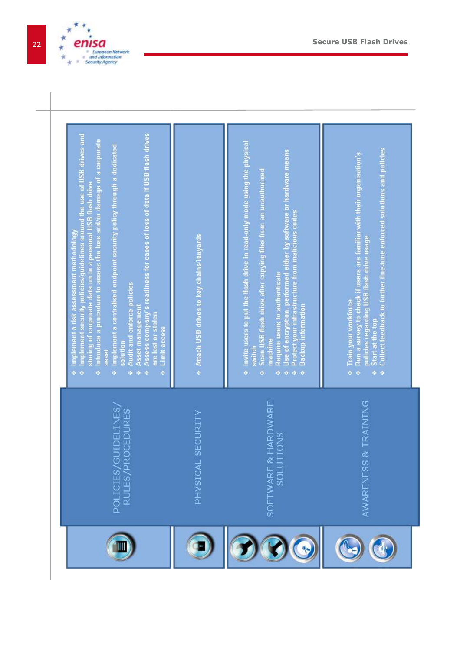![](_page_21_Picture_0.jpeg)

![](_page_21_Picture_1.jpeg)

![](_page_21_Picture_2.jpeg)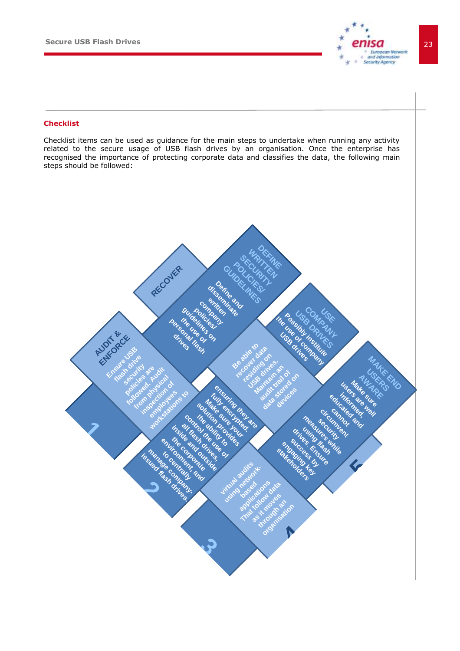![](_page_22_Picture_1.jpeg)

#### <span id="page-22-0"></span>**Checklist**

Checklist items can be used as guidance for the main steps to undertake when running any activity related to the secure usage of USB flash drives by an organisation. Once the enterprise has recognised the importance of protecting corporate data and classifies the data, the following main steps should be followed:

![](_page_22_Picture_4.jpeg)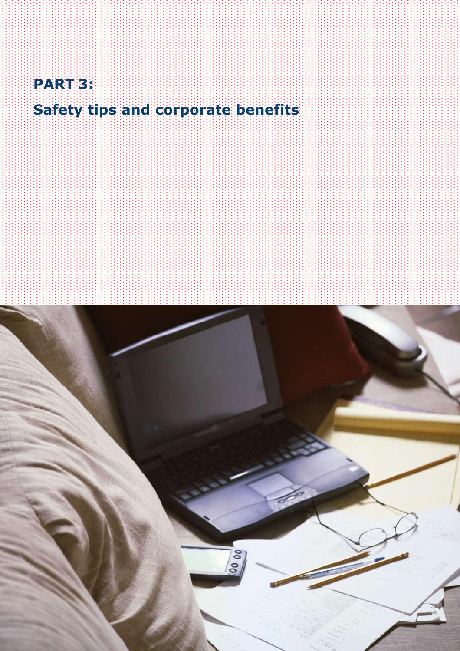![](_page_24_Picture_0.jpeg)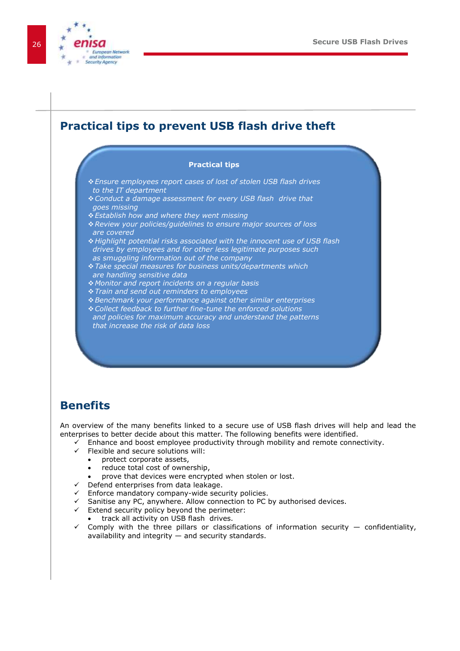![](_page_25_Picture_1.jpeg)

### <span id="page-25-0"></span>**Practical tips to prevent USB flash drive theft**

#### **Practical tips**

- *Ensure employees report cases of lost of stolen USB flash drives to the IT department*
- *Conduct a damage assessment for every USB flash drive that goes missing*
- *Establish how and where they went missing*
- *Review your policies/guidelines to ensure major sources of loss are covered*
- *Highlight potential risks associated with the innocent use of USB flash drives by employees and for other less legitimate purposes such as smuggling information out of the company*
- *Take special measures for business units/departments which are handling sensitive data*
- *Monitor and report incidents on a regular basis*
- *Train and send out reminders to employees*
- *Benchmark your performance against other similar enterprises*
- *Collect feedback to further fine-tune the enforced solutions*
- *and policies for maximum accuracy and understand the patterns that increase the risk of data loss*

### <span id="page-25-1"></span>**Benefits**

An overview of the many benefits linked to a secure use of USB flash drives will help and lead the enterprises to better decide about this matter. The following benefits were identified.

- $\checkmark$  Enhance and boost employee productivity through mobility and remote connectivity.
- $\checkmark$  Flexible and secure solutions will:
	- protect corporate assets,
	- reduce total cost of ownership,
	- prove that devices were encrypted when stolen or lost.
- $\checkmark$  Defend enterprises from data leakage.
- $\checkmark$  Enforce mandatory company-wide security policies.
- $\checkmark$  Sanitise any PC, anywhere. Allow connection to PC by authorised devices.
- $\checkmark$  Extend security policy beyond the perimeter:
	- track all activity on USB flash drives.
- $\checkmark$  Comply with the three pillars or classifications of information security  $-$  confidentiality, availability and integrity — and security standards.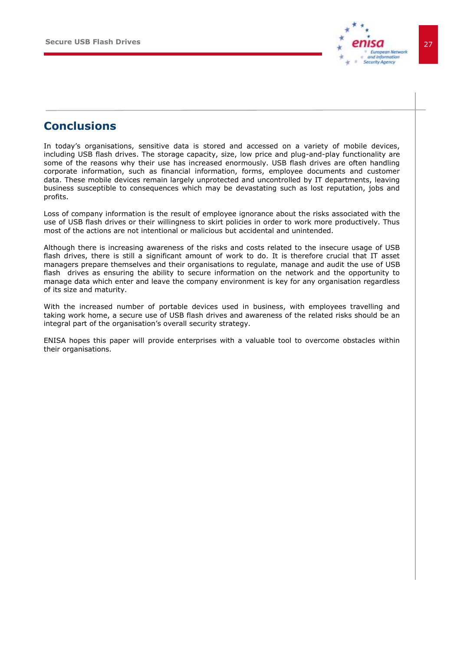![](_page_26_Picture_1.jpeg)

### **Conclusions**

<span id="page-26-0"></span>In today's organisations, sensitive data is stored and accessed on a variety of mobile devices, including USB flash drives. The storage capacity, size, low price and plug-and-play functionality are some of the reasons why their use has increased enormously. USB flash drives are often handling corporate information, such as financial information, forms, employee documents and customer data. These mobile devices remain largely unprotected and uncontrolled by IT departments, leaving business susceptible to consequences which may be devastating such as lost reputation, jobs and profits.

Loss of company information is the result of employee ignorance about the risks associated with the use of USB flash drives or their willingness to skirt policies in order to work more productively. Thus most of the actions are not intentional or malicious but accidental and unintended.

Although there is increasing awareness of the risks and costs related to the insecure usage of USB flash drives, there is still a significant amount of work to do. It is therefore crucial that IT asset managers prepare themselves and their organisations to regulate, manage and audit the use of USB flash drives as ensuring the ability to secure information on the network and the opportunity to manage data which enter and leave the company environment is key for any organisation regardless of its size and maturity.

With the increased number of portable devices used in business, with employees travelling and taking work home, a secure use of USB flash drives and awareness of the related risks should be an integral part of the organisation's overall security strategy.

ENISA hopes this paper will provide enterprises with a valuable tool to overcome obstacles within their organisations.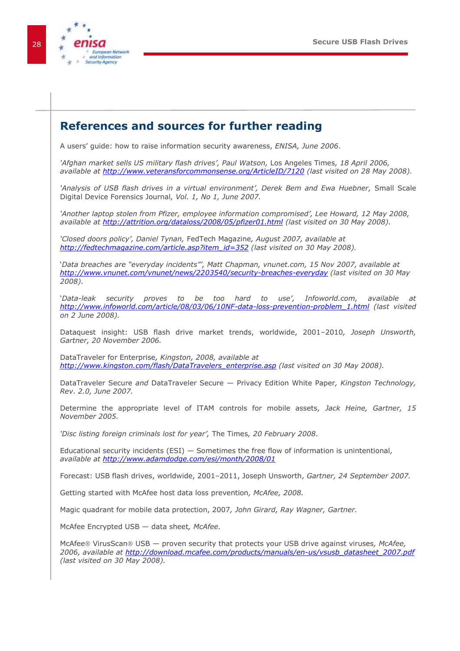![](_page_27_Picture_1.jpeg)

### <span id="page-27-0"></span>**References and sources for further reading**

A users' guide: how to raise information security awareness, *ENISA, June 2006*.

*"Afghan market sells US military flash drives", Paul Watson,* Los Angeles Times*, 18 April 2006, available at<http://www.veteransforcommonsense.org/ArticleID/7120> (last visited on 28 May 2008).*

'Analysis of USB flash drives in a virtual environment', Derek Bem and Ewa Huebner, Small Scale Digital Device Forensics Journal*, Vol. 1, No 1, June 2007.*

*"Another laptop stolen from Pfizer, employee information compromised", Lee Howard, 12 May 2008, available at<http://attrition.org/dataloss/2008/05/pfizer01.html> (last visited on 30 May 2008).* 

*"Closed doors policy", Daniel Tynan,* FedTech Magazine*, August 2007, available at http://fedtechmagazine.com/article.asp?item\_id=352 (last visited on 30 May 2008).*

'*Data breaches are "everyday incidents"", Matt Chapman, vnunet.com, 15 Nov 2007, available at <http://www.vnunet.com/vnunet/news/2203540/security-breaches-everyday> (last visited on 30 May 2008).*

*'*Data-leak security proves to be too hard to use', Infoworld.com, available at *[http://www.infoworld.com/article/08/03/06/10NF-data-loss-prevention-problem\\_1.html](http://www.infoworld.com/article/08/03/06/10NF-data-loss-prevention-problem_1.html) (last visited on 2 June 2008).*

Dataquest insight: USB flash drive market trends, worldwide, 2001–2010*, Joseph Unsworth, Gartner, 20 November 2006.*

DataTraveler for Enterprise*, Kingston, 2008, available at [http://www.kingston.com/flash/DataTravelers\\_enterprise.asp](http://www.kingston.com/flash/DataTravelers_enterprise.asp) (last visited on 30 May 2008).* 

DataTraveler Secure *and* DataTraveler Secure — Privacy Edition White Paper*, Kingston Technology, Rev. 2.0, June 2007.*

Determine the appropriate level of ITAM controls for mobile assets*, Jack Heine, Gartner, 15 November 2005.*

*"Disc listing foreign criminals lost for year",* The Times*, 20 February 2008*.

Educational security incidents (ESI) — Sometimes the free flow of information is unintentional*, available at<http://www.adamdodge.com/esi/month/2008/01>*

Forecast: USB flash drives, worldwide, 2001–2011, Joseph Unsworth, *Gartner, 24 September 2007.*

Getting started with McAfee host data loss prevention*, McAfee, 2008.*

Magic quadrant for mobile data protection, 2007*, John Girard, Ray Wagner, Gartner.*

McAfee Encrypted USB — data sheet*, McAfee.*

McAfee<sup>®</sup> VirusScan<sup>®</sup> USB — proven security that protects your USB drive against viruses, McAfee, *2006, available at [http://download.mcafee.com/products/manuals/en-us/vsusb\\_datasheet\\_2007.pdf](http://download.mcafee.com/products/manuals/en-us/vsusb_datasheet_2007.pdf) (last visited on 30 May 2008).*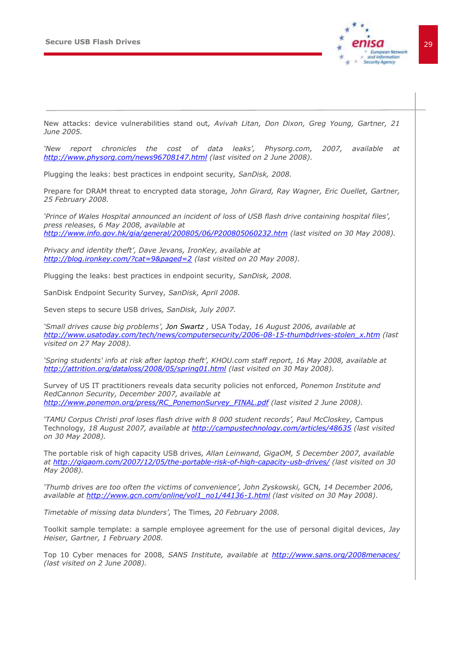![](_page_28_Picture_1.jpeg)

New attacks: device vulnerabilities stand out*, Avivah Litan, Don Dixon, Greg Young, Gartner, 21 June 2005.*

*"New report chronicles the cost of data leaks", Physorg.com, 2007, available at <http://www.physorg.com/news96708147.html> (last visited on 2 June 2008).*

Plugging the leaks: best practices in endpoint security*, SanDisk, 2008.* 

Prepare for DRAM threat to encrypted data storage*, John Girard, Ray Wagner, Eric Ouellet, Gartner, 25 February 2008.*

*"Prince of Wales Hospital announced an incident of loss of USB flash drive containing hospital files", press releases, 6 May 2008, available at <http://www.info.gov.hk/gia/general/200805/06/P200805060232.htm> (last visited on 30 May 2008).*

*Privacy and identity theft", Dave Jevans, IronKey, available at <http://blog.ironkey.com/?cat=9&paged=2> (last visited on 20 May 2008).*

Plugging the leaks: best practices in endpoint security*, SanDisk, 2008.*

SanDisk Endpoint Security Survey*, SanDisk, April 2008.*

Seven steps to secure USB drives*, SanDisk, July 2007.*

*"Small drives cause big problems", Jon Swartz ,* USA Today*, 16 August 2006, available at [http://www.usatoday.com/tech/news/computersecurity/2006-08-15-thumbdrives-stolen\\_x.htm](http://www.usatoday.com/tech/news/computersecurity/2006-08-15-thumbdrives-stolen_x.htm) (last visited on 27 May 2008).*

*"Spring students' info at risk after laptop theft", KHOU.com staff report, 16 May 2008, available at <http://attrition.org/dataloss/2008/05/spring01.html> (last visited on 30 May 2008).*

Survey of US IT practitioners reveals data security policies not enforced*, Ponemon Institute and RedCannon Security, December 2007, available at [http://www.ponemon.org/press/RC\\_PonemonSurvey\\_FINAL.pdf](http://www.ponemon.org/press/RC_PonemonSurvey_FINAL.pdf) (last visited 2 June 2008).*

*"TAMU Corpus Christi prof loses flash drive with 8 000 student records", Paul McCloskey,* Campus Technology*, 18 August 2007, available at<http://campustechnology.com/articles/48635> (last visited on 30 May 2008).*

The portable risk of high capacity USB drives*, Allan Leinwand, GigaOM, 5 December 2007, available at<http://gigaom.com/2007/12/05/the-portable-risk-of-high-capacity-usb-drives/> (last visited on 30 May 2008).*

*"Thumb drives are too often the victims of convenience", John Zyskowski,* GCN*, 14 December 2006, available at [http://www.gcn.com/online/vol1\\_no1/44136-1.html](http://www.gcn.com/online/vol1_no1/44136-1.html) (last visited on 30 May 2008).*

*Timetable of missing data blunders",* The Times*, 20 February 2008.*

Toolkit sample template: a sample employee agreement for the use of personal digital devices, *Jay Heiser, Gartner, 1 February 2008.*

Top 10 Cyber menaces for 2008*, SANS Institute, available at<http://www.sans.org/2008menaces/> (last visited on 2 June 2008).*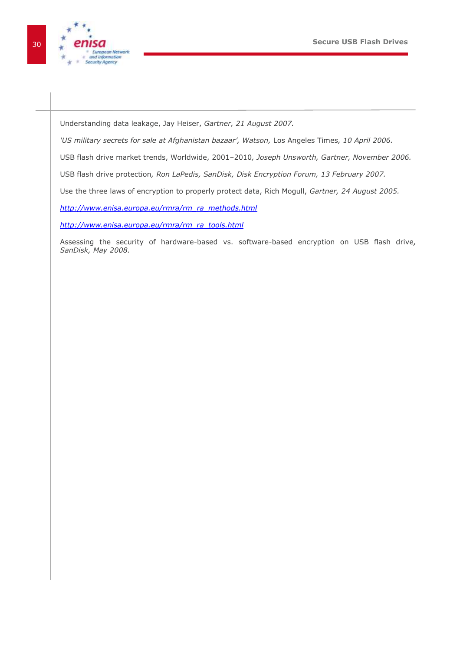![](_page_29_Picture_1.jpeg)

Understanding data leakage, Jay Heiser, *Gartner, 21 August 2007.*

*"US military secrets for sale at Afghanistan bazaar", Watson,* Los Angeles Times*, 10 April 2006.* 

USB flash drive market trends, Worldwide, 2001–2010*, Joseph Unsworth, Gartner, November 2006.*

USB flash drive protection*, Ron LaPedis, SanDisk, Disk Encryption Forum, 13 February 2007.* 

Use the three laws of encryption to properly protect data, Rich Mogull, *Gartner, 24 August 2005.*

*[http://www.enisa.europa.eu/rmra/rm\\_ra\\_methods.html](http://www.enisa.europa.eu/rmra/rm_ra_methods.html)*

*[http://www.enisa.europa.eu/rmra/rm\\_ra\\_tools.html](http://www.enisa.europa.eu/rmra/rm_ra_tools.html)*

Assessing the security of hardware-based vs. software-based encryption on USB flash drive*, SanDisk, May 2008.*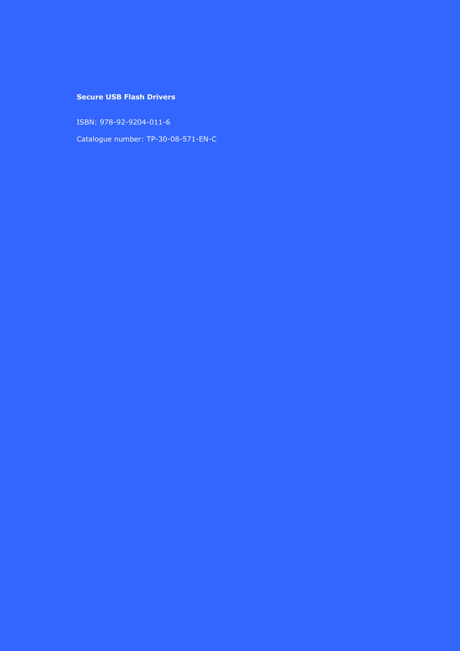### **Secure USB Flash Drivers**

ISBN: 978-92-9204-011-6

Catalogue number: TP-30-08-571-EN-C